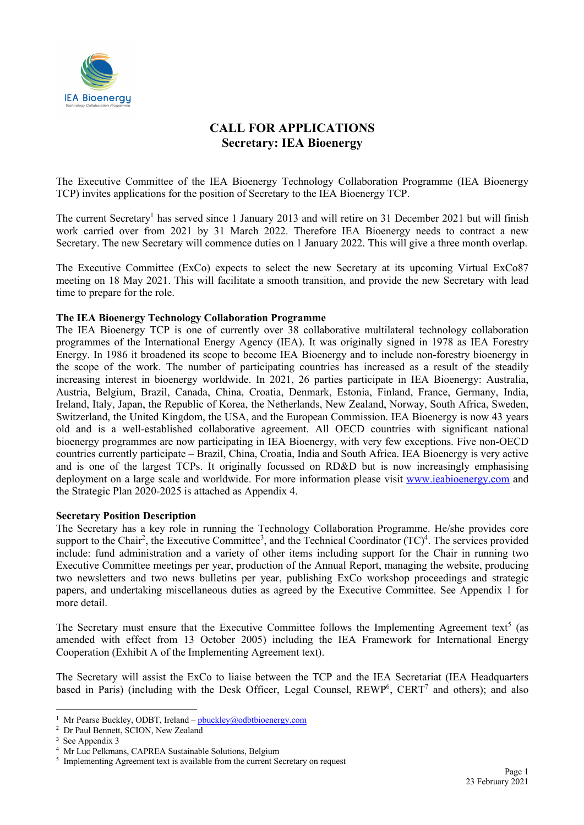

# **CALL FOR APPLICATIONS Secretary: IEA Bioenergy**

The Executive Committee of the IEA Bioenergy Technology Collaboration Programme (IEA Bioenergy TCP) invites applications for the position of Secretary to the IEA Bioenergy TCP.

The current Secretary<sup>1</sup> has served since 1 January 2013 and will retire on 31 December 2021 but will finish work carried over from 2021 by 31 March 2022. Therefore IEA Bioenergy needs to contract a new Secretary. The new Secretary will commence duties on 1 January 2022. This will give a three month overlap.

The Executive Committee (ExCo) expects to select the new Secretary at its upcoming Virtual ExCo87 meeting on 18 May 2021. This will facilitate a smooth transition, and provide the new Secretary with lead time to prepare for the role.

### **The IEA Bioenergy Technology Collaboration Programme**

The IEA Bioenergy TCP is one of currently over 38 collaborative multilateral technology collaboration programmes of the International Energy Agency (IEA). It was originally signed in 1978 as IEA Forestry Energy. In 1986 it broadened its scope to become IEA Bioenergy and to include non-forestry bioenergy in the scope of the work. The number of participating countries has increased as a result of the steadily increasing interest in bioenergy worldwide. In 2021, 26 parties participate in IEA Bioenergy: Australia, Austria, Belgium, Brazil, Canada, China, Croatia, Denmark, Estonia, Finland, France, Germany, India, Ireland, Italy, Japan, the Republic of Korea, the Netherlands, New Zealand, Norway, South Africa, Sweden, Switzerland, the United Kingdom, the USA, and the European Commission. IEA Bioenergy is now 43 years old and is a well-established collaborative agreement. All OECD countries with significant national bioenergy programmes are now participating in IEA Bioenergy, with very few exceptions. Five non-OECD countries currently participate – Brazil, China, Croatia, India and South Africa. IEA Bioenergy is very active and is one of the largest TCPs. It originally focussed on RD&D but is now increasingly emphasising deployment on a large scale and worldwide. For more information please visit www.ieabioenergy.com and the Strategic Plan 2020-2025 is attached as Appendix 4.

### **Secretary Position Description**

The Secretary has a key role in running the Technology Collaboration Programme. He/she provides core support to the Chair<sup>2</sup>, the Executive Committee<sup>3</sup>, and the Technical Coordinator  $(TC)^4$ . The services provided include: fund administration and a variety of other items including support for the Chair in running two Executive Committee meetings per year, production of the Annual Report, managing the website, producing two newsletters and two news bulletins per year, publishing ExCo workshop proceedings and strategic papers, and undertaking miscellaneous duties as agreed by the Executive Committee. See Appendix 1 for more detail.

The Secretary must ensure that the Executive Committee follows the Implementing Agreement text<sup>5</sup> (as amended with effect from 13 October 2005) including the IEA Framework for International Energy Cooperation (Exhibit A of the Implementing Agreement text).

The Secretary will assist the ExCo to liaise between the TCP and the IEA Secretariat (IEA Headquarters based in Paris) (including with the Desk Officer, Legal Counsel, REWP<sup>6</sup>, CERT<sup>7</sup> and others); and also

<sup>&</sup>lt;sup>1</sup> Mr Pearse Buckley, ODBT, Ireland – pbuckley@odbtbioenergy.com

<sup>&</sup>lt;sup>2</sup> Dr Paul Bennett, SCION, New Zealand

<sup>3</sup> See Appendix 3

<sup>4</sup> Mr Luc Pelkmans, CAPREA Sustainable Solutions, Belgium

<sup>&</sup>lt;sup>5</sup> Implementing Agreement text is available from the current Secretary on request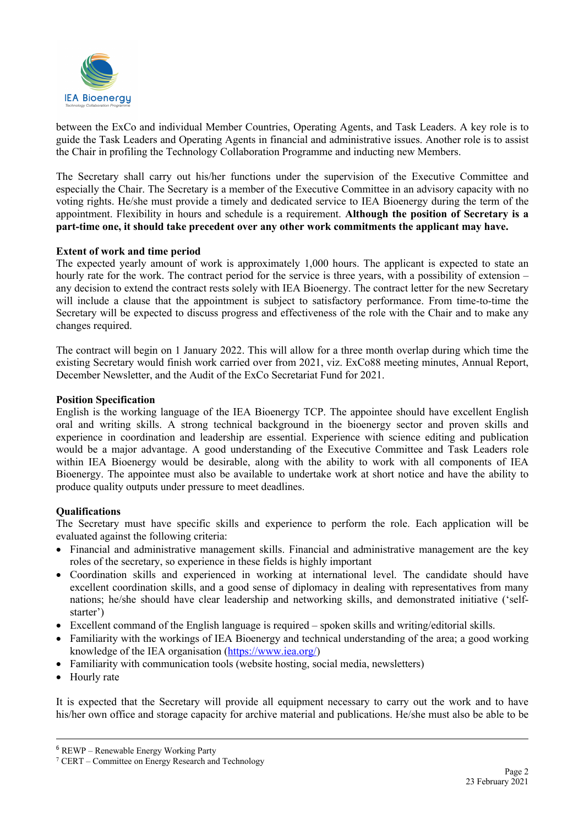

between the ExCo and individual Member Countries, Operating Agents, and Task Leaders. A key role is to guide the Task Leaders and Operating Agents in financial and administrative issues. Another role is to assist the Chair in profiling the Technology Collaboration Programme and inducting new Members.

The Secretary shall carry out his/her functions under the supervision of the Executive Committee and especially the Chair. The Secretary is a member of the Executive Committee in an advisory capacity with no voting rights. He/she must provide a timely and dedicated service to IEA Bioenergy during the term of the appointment. Flexibility in hours and schedule is a requirement. **Although the position of Secretary is a part-time one, it should take precedent over any other work commitments the applicant may have.**

### **Extent of work and time period**

The expected yearly amount of work is approximately 1,000 hours. The applicant is expected to state an hourly rate for the work. The contract period for the service is three years, with a possibility of extension – any decision to extend the contract rests solely with IEA Bioenergy. The contract letter for the new Secretary will include a clause that the appointment is subject to satisfactory performance. From time-to-time the Secretary will be expected to discuss progress and effectiveness of the role with the Chair and to make any changes required.

The contract will begin on 1 January 2022. This will allow for a three month overlap during which time the existing Secretary would finish work carried over from 2021, viz. ExCo88 meeting minutes, Annual Report, December Newsletter, and the Audit of the ExCo Secretariat Fund for 2021.

### **Position Specification**

English is the working language of the IEA Bioenergy TCP. The appointee should have excellent English oral and writing skills. A strong technical background in the bioenergy sector and proven skills and experience in coordination and leadership are essential. Experience with science editing and publication would be a major advantage. A good understanding of the Executive Committee and Task Leaders role within IEA Bioenergy would be desirable, along with the ability to work with all components of IEA Bioenergy. The appointee must also be available to undertake work at short notice and have the ability to produce quality outputs under pressure to meet deadlines.

# **Qualifications**

The Secretary must have specific skills and experience to perform the role. Each application will be evaluated against the following criteria:

- Financial and administrative management skills. Financial and administrative management are the key roles of the secretary, so experience in these fields is highly important
- Coordination skills and experienced in working at international level. The candidate should have excellent coordination skills, and a good sense of diplomacy in dealing with representatives from many nations; he/she should have clear leadership and networking skills, and demonstrated initiative ('selfstarter')
- Excellent command of the English language is required spoken skills and writing/editorial skills.
- Familiarity with the workings of IEA Bioenergy and technical understanding of the area; a good working knowledge of the IEA organisation (https://www.iea.org/)
- Familiarity with communication tools (website hosting, social media, newsletters)
- Hourly rate

It is expected that the Secretary will provide all equipment necessary to carry out the work and to have his/her own office and storage capacity for archive material and publications. He/she must also be able to be

<sup>6</sup> REWP – Renewable Energy Working Party

<sup>7</sup> CERT – Committee on Energy Research and Technology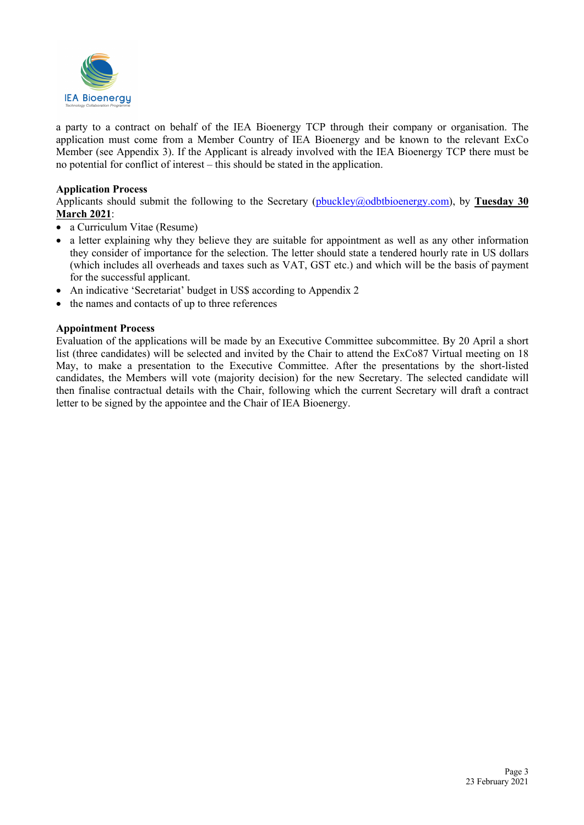

a party to a contract on behalf of the IEA Bioenergy TCP through their company or organisation. The application must come from a Member Country of IEA Bioenergy and be known to the relevant ExCo Member (see Appendix 3). If the Applicant is already involved with the IEA Bioenergy TCP there must be no potential for conflict of interest – this should be stated in the application.

### **Application Process**

Applicants should submit the following to the Secretary (pbuckley@odbtbioenergy.com), by **Tuesday 30 March 2021**:

- a Curriculum Vitae (Resume)
- a letter explaining why they believe they are suitable for appointment as well as any other information they consider of importance for the selection. The letter should state a tendered hourly rate in US dollars (which includes all overheads and taxes such as VAT, GST etc.) and which will be the basis of payment for the successful applicant.
- An indicative 'Secretariat' budget in US\$ according to Appendix 2
- the names and contacts of up to three references

### **Appointment Process**

Evaluation of the applications will be made by an Executive Committee subcommittee. By 20 April a short list (three candidates) will be selected and invited by the Chair to attend the ExCo87 Virtual meeting on 18 May, to make a presentation to the Executive Committee. After the presentations by the short-listed candidates, the Members will vote (majority decision) for the new Secretary. The selected candidate will then finalise contractual details with the Chair, following which the current Secretary will draft a contract letter to be signed by the appointee and the Chair of IEA Bioenergy.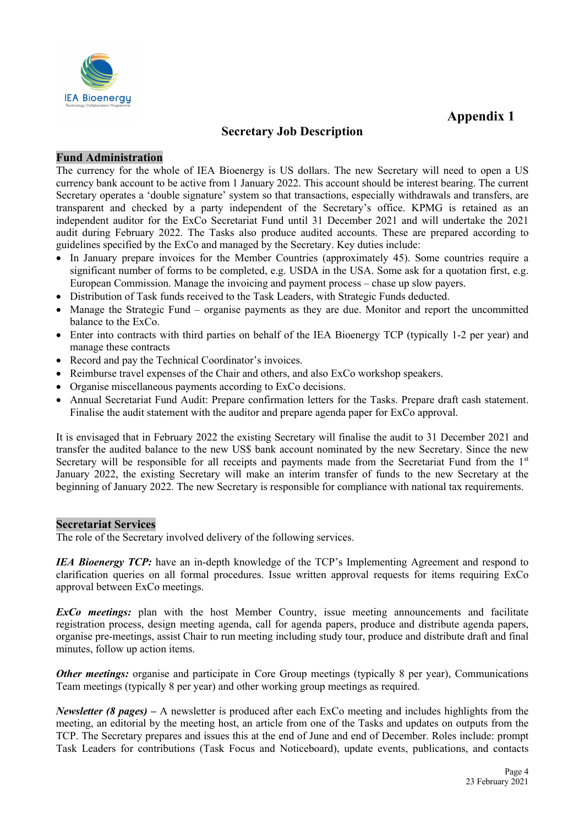

# **Secretary Job Description**

# **Fund Administration**

The currency for the whole of IEA Bioenergy is US dollars. The new Secretary will need to open a US currency bank account to be active from 1 January 2022. This account should be interest bearing. The current Secretary operates a 'double signature' system so that transactions, especially withdrawals and transfers, are transparent and checked by a party independent of the Secretary's office. KPMG is retained as an independent auditor for the ExCo Secretariat Fund until 31 December 2021 and will undertake the 2021 audit during February 2022. The Tasks also produce audited accounts. These are prepared according to guidelines specified by the ExCo and managed by the Secretary. Key duties include:

- In January prepare invoices for the Member Countries (approximately 45). Some countries require a significant number of forms to be completed, e.g. USDA in the USA. Some ask for a quotation first, e.g. European Commission. Manage the invoicing and payment process – chase up slow payers.
- Distribution of Task funds received to the Task Leaders, with Strategic Funds deducted.
- Manage the Strategic Fund organise payments as they are due. Monitor and report the uncommitted balance to the ExCo.
- Enter into contracts with third parties on behalf of the IEA Bioenergy TCP (typically 1-2 per year) and manage these contracts
- Record and pay the Technical Coordinator's invoices.
- Reimburse travel expenses of the Chair and others, and also ExCo workshop speakers.
- Organise miscellaneous payments according to ExCo decisions.
- Annual Secretariat Fund Audit: Prepare confirmation letters for the Tasks. Prepare draft cash statement. Finalise the audit statement with the auditor and prepare agenda paper for ExCo approval.

It is envisaged that in February 2022 the existing Secretary will finalise the audit to 31 December 2021 and transfer the audited balance to the new US\$ bank account nominated by the new Secretary. Since the new Secretary will be responsible for all receipts and payments made from the Secretariat Fund from the  $1<sup>st</sup>$ January 2022, the existing Secretary will make an interim transfer of funds to the new Secretary at the beginning of January 2022. The new Secretary is responsible for compliance with national tax requirements.

### **Secretariat Services**

The role of the Secretary involved delivery of the following services.

*IEA Bioenergy TCP*: have an in-depth knowledge of the TCP's Implementing Agreement and respond to clarification queries on all formal procedures. Issue written approval requests for items requiring ExCo approval between ExCo meetings.

*ExCo meetings:* plan with the host Member Country, issue meeting announcements and facilitate registration process, design meeting agenda, call for agenda papers, produce and distribute agenda papers, organise pre-meetings, assist Chair to run meeting including study tour, produce and distribute draft and final minutes, follow up action items.

*Other meetings:* organise and participate in Core Group meetings (typically 8 per year), Communications Team meetings (typically 8 per year) and other working group meetings as required.

*Newsletter (8 pages) –* A newsletter is produced after each ExCo meeting and includes highlights from the meeting, an editorial by the meeting host, an article from one of the Tasks and updates on outputs from the TCP. The Secretary prepares and issues this at the end of June and end of December. Roles include: prompt Task Leaders for contributions (Task Focus and Noticeboard), update events, publications, and contacts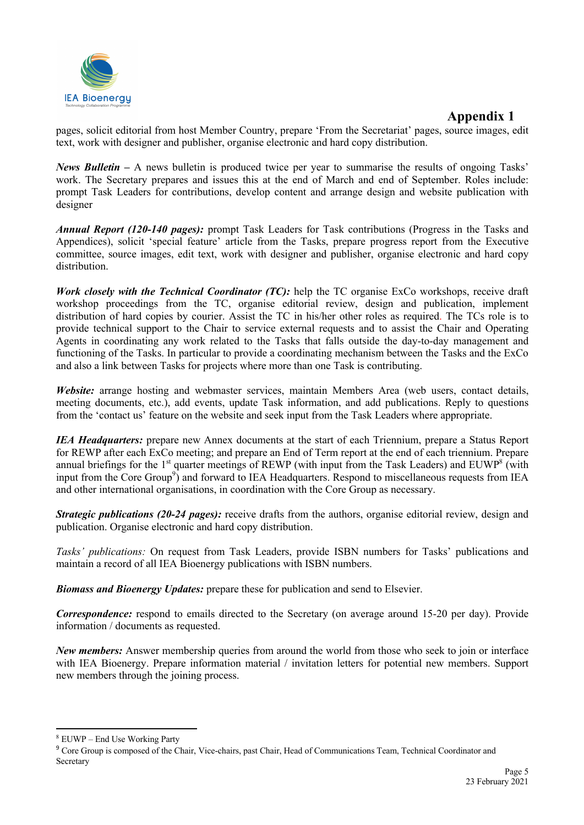

pages, solicit editorial from host Member Country, prepare 'From the Secretariat' pages, source images, edit text, work with designer and publisher, organise electronic and hard copy distribution.

*News Bulletin –* A news bulletin is produced twice per year to summarise the results of ongoing Tasks' work. The Secretary prepares and issues this at the end of March and end of September. Roles include: prompt Task Leaders for contributions, develop content and arrange design and website publication with designer

*Annual Report (120-140 pages):* prompt Task Leaders for Task contributions (Progress in the Tasks and Appendices), solicit 'special feature' article from the Tasks, prepare progress report from the Executive committee, source images, edit text, work with designer and publisher, organise electronic and hard copy distribution.

*Work closely with the Technical Coordinator (TC):* help the TC organise ExCo workshops, receive draft workshop proceedings from the TC, organise editorial review, design and publication, implement distribution of hard copies by courier. Assist the TC in his/her other roles as required. The TCs role is to provide technical support to the Chair to service external requests and to assist the Chair and Operating Agents in coordinating any work related to the Tasks that falls outside the day-to-day management and functioning of the Tasks. In particular to provide a coordinating mechanism between the Tasks and the ExCo and also a link between Tasks for projects where more than one Task is contributing.

*Website:* arrange hosting and webmaster services, maintain Members Area (web users, contact details, meeting documents, etc.), add events, update Task information, and add publications. Reply to questions from the 'contact us' feature on the website and seek input from the Task Leaders where appropriate.

*IEA Headquarters:* prepare new Annex documents at the start of each Triennium, prepare a Status Report for REWP after each ExCo meeting; and prepare an End of Term report at the end of each triennium. Prepare annual briefings for the 1<sup>st</sup> quarter meetings of REWP (with input from the Task Leaders) and EUWP<sup>8</sup> (with input from the Core Group<sup>9</sup>) and forward to IEA Headquarters. Respond to miscellaneous requests from IEA and other international organisations, in coordination with the Core Group as necessary.

*Strategic publications (20-24 pages):* receive drafts from the authors, organise editorial review, design and publication. Organise electronic and hard copy distribution.

*Tasks' publications:* On request from Task Leaders, provide ISBN numbers for Tasks' publications and maintain a record of all IEA Bioenergy publications with ISBN numbers.

*Biomass and Bioenergy Updates:* prepare these for publication and send to Elsevier.

*Correspondence:* respond to emails directed to the Secretary (on average around 15-20 per day). Provide information / documents as requested.

*New members:* Answer membership queries from around the world from those who seek to join or interface with IEA Bioenergy. Prepare information material / invitation letters for potential new members. Support new members through the joining process.

<sup>8</sup> EUWP – End Use Working Party

<sup>&</sup>lt;sup>9</sup> Core Group is composed of the Chair, Vice-chairs, past Chair, Head of Communications Team, Technical Coordinator and Secretary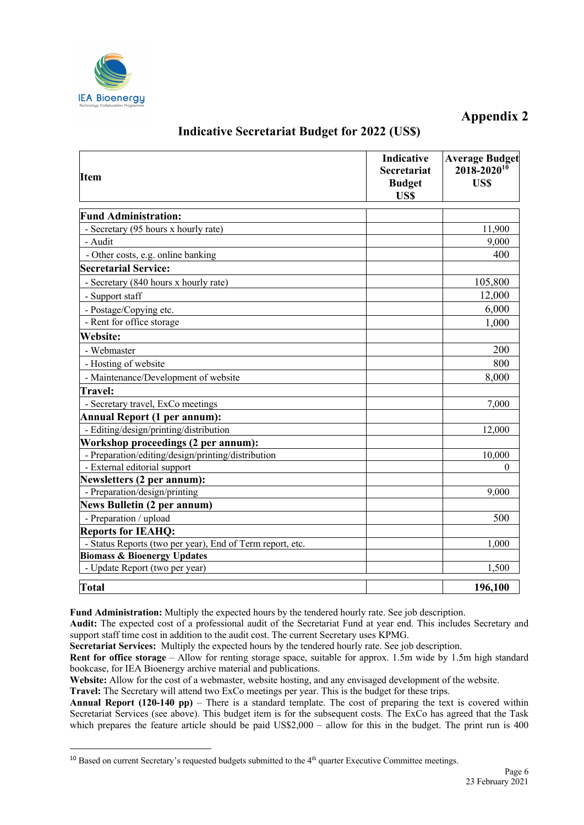

| <b>Item</b>                                               | Indicative<br><b>Secretariat</b><br><b>Budget</b><br><b>USS</b> | <b>Average Budget</b><br>$2018 - 2020^{10}$<br>US\$ |
|-----------------------------------------------------------|-----------------------------------------------------------------|-----------------------------------------------------|
| <b>Fund Administration:</b>                               |                                                                 |                                                     |
| - Secretary (95 hours x hourly rate)                      |                                                                 | 11,900                                              |
| - Audit                                                   |                                                                 | 9,000                                               |
| - Other costs, e.g. online banking                        |                                                                 | 400                                                 |
| <b>Secretarial Service:</b>                               |                                                                 |                                                     |
| - Secretary (840 hours x hourly rate)                     |                                                                 | 105,800                                             |
| - Support staff                                           |                                                                 | 12,000                                              |
| - Postage/Copying etc.                                    |                                                                 | 6,000                                               |
| - Rent for office storage                                 |                                                                 | 1,000                                               |
| <b>Website:</b>                                           |                                                                 |                                                     |
| - Webmaster                                               |                                                                 | 200                                                 |
| - Hosting of website                                      |                                                                 | 800                                                 |
| - Maintenance/Development of website                      |                                                                 | 8,000                                               |
| <b>Travel:</b>                                            |                                                                 |                                                     |
| - Secretary travel, ExCo meetings                         |                                                                 | 7,000                                               |
| <b>Annual Report (1 per annum):</b>                       |                                                                 |                                                     |
| - Editing/design/printing/distribution                    |                                                                 | 12,000                                              |
| Workshop proceedings (2 per annum):                       |                                                                 |                                                     |
| - Preparation/editing/design/printing/distribution        |                                                                 | 10,000                                              |
| - External editorial support                              |                                                                 | $\theta$                                            |
| Newsletters (2 per annum):                                |                                                                 |                                                     |
| - Preparation/design/printing                             |                                                                 | 9,000                                               |
| <b>News Bulletin (2 per annum)</b>                        |                                                                 |                                                     |
| - Preparation / upload                                    |                                                                 | 500                                                 |
| <b>Reports for IEAHQ:</b>                                 |                                                                 |                                                     |
| - Status Reports (two per year), End of Term report, etc. |                                                                 | 1.000                                               |
| <b>Biomass &amp; Bioenergy Updates</b>                    |                                                                 |                                                     |
| - Update Report (two per year)                            |                                                                 | 1,500                                               |
| Total                                                     |                                                                 | 196,100                                             |

# **Indicative Secretariat Budget for 2022 (US\$)**

**Fund Administration:** Multiply the expected hours by the tendered hourly rate. See job description.

**Audit:** The expected cost of a professional audit of the Secretariat Fund at year end. This includes Secretary and support staff time cost in addition to the audit cost. The current Secretary uses KPMG.

**Secretariat Services:** Multiply the expected hours by the tendered hourly rate. See job description.

**Rent for office storage** – Allow for renting storage space, suitable for approx. 1.5m wide by 1.5m high standard bookcase, for IEA Bioenergy archive material and publications.

**Website:** Allow for the cost of a webmaster, website hosting, and any envisaged development of the website.

**Travel:** The Secretary will attend two ExCo meetings per year. This is the budget for these trips.

**Annual Report (120-140 pp)** – There is a standard template. The cost of preparing the text is covered within Secretariat Services (see above). This budget item is for the subsequent costs. The ExCo has agreed that the Task which prepares the feature article should be paid US\$2,000 – allow for this in the budget. The print run is 400

 $10$  Based on current Secretary's requested budgets submitted to the  $4<sup>th</sup>$  quarter Executive Committee meetings.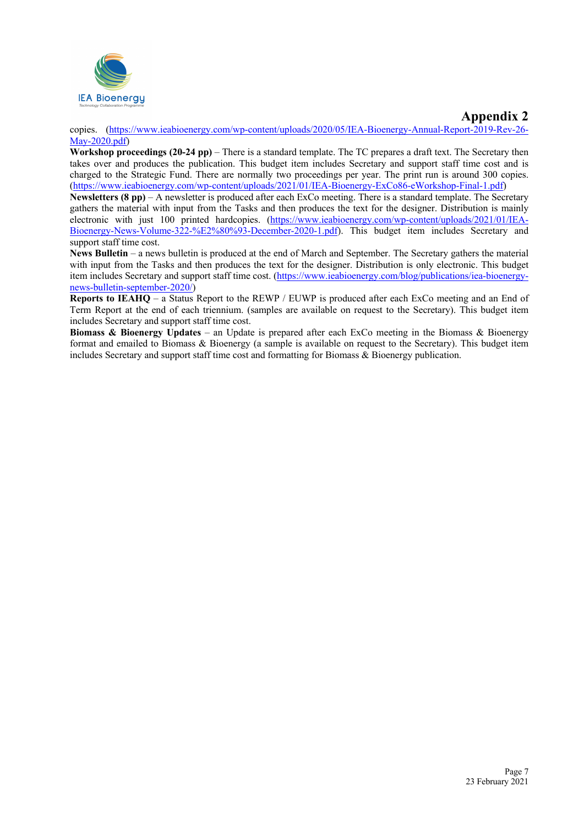

copies. (https://www.ieabioenergy.com/wp-content/uploads/2020/05/IEA-Bioenergy-Annual-Report-2019-Rev-26- May-2020.pdf)

**Workshop proceedings (20-24 pp)** – There is a standard template. The TC prepares a draft text. The Secretary then takes over and produces the publication. This budget item includes Secretary and support staff time cost and is charged to the Strategic Fund. There are normally two proceedings per year. The print run is around 300 copies. (https://www.ieabioenergy.com/wp-content/uploads/2021/01/IEA-Bioenergy-ExCo86-eWorkshop-Final-1.pdf)

**Newsletters (8 pp)** – A newsletter is produced after each ExCo meeting. There is a standard template. The Secretary gathers the material with input from the Tasks and then produces the text for the designer. Distribution is mainly electronic with just 100 printed hardcopies. (https://www.ieabioenergy.com/wp-content/uploads/2021/01/IEA-Bioenergy-News-Volume-322-%E2%80%93-December-2020-1.pdf). This budget item includes Secretary and support staff time cost.

**News Bulletin** – a news bulletin is produced at the end of March and September. The Secretary gathers the material with input from the Tasks and then produces the text for the designer. Distribution is only electronic. This budget item includes Secretary and support staff time cost. (https://www.ieabioenergy.com/blog/publications/iea-bioenergynews-bulletin-september-2020/)

**Reports to IEAHQ** – a Status Report to the REWP / EUWP is produced after each ExCo meeting and an End of Term Report at the end of each triennium. (samples are available on request to the Secretary). This budget item includes Secretary and support staff time cost.

**Biomass & Bioenergy Updates** – an Update is prepared after each ExCo meeting in the Biomass & Bioenergy format and emailed to Biomass & Bioenergy (a sample is available on request to the Secretary). This budget item includes Secretary and support staff time cost and formatting for Biomass & Bioenergy publication.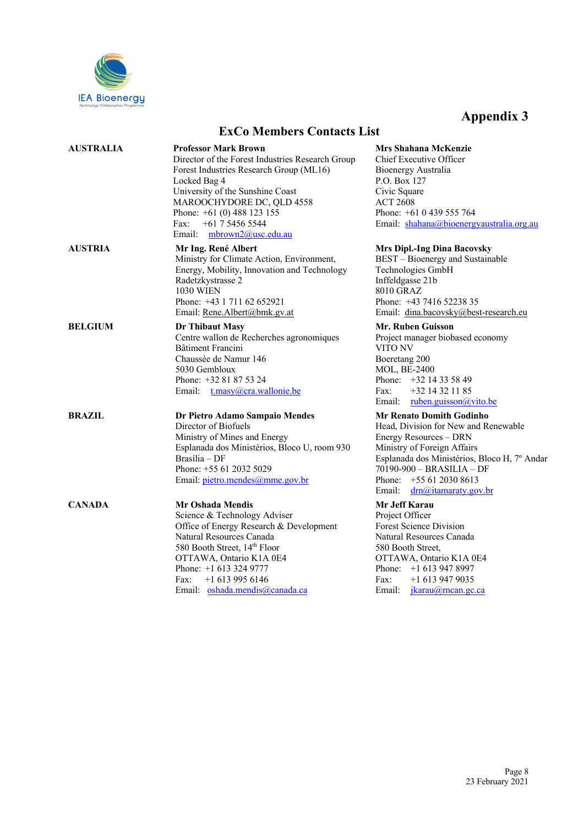

|                | <b>EXUO MEMPERS COMACIS LIST</b>                                                                                                                                                                                                                                                                      |                                                                          |
|----------------|-------------------------------------------------------------------------------------------------------------------------------------------------------------------------------------------------------------------------------------------------------------------------------------------------------|--------------------------------------------------------------------------|
| AUSTRALIA      | <b>Professor Mark Brown</b><br>Director of the Forest Industries Research Group<br>Forest Industries Research Group (ML16)<br>Locked Bag 4<br>University of the Sunshine Coast<br>MAROOCHYDORE DC, QLD 4558<br>Phone: $+61(0)$ 488 123 155<br>+61 7 5456 5544<br>Fax:<br>Email:<br>mbrown2@usc.edu.au | <b>Mrs</b><br>Chief<br>Bioer<br>P.O.<br>Civic<br>ACT<br>Phon<br>Emai     |
| AUSTRIA        | Mr Ing. René Albert<br>Ministry for Climate Action, Environment,<br>Energy, Mobility, Innovation and Technology<br>Radetzkystrasse 2<br><b>1030 WIEN</b><br>Phone: +43 1 711 62 652921<br>Email: Rene.Albert@bmk.gv.at                                                                                | Mrs 1<br><b>BEST</b><br>Techi<br>Inffel<br>8010<br>Phon<br>Emai          |
| <b>BELGIUM</b> | Dr Thibaut Masy<br>Centre wallon de Recherches agronomiques<br>Bâtiment Francini<br>Chaussée de Namur 146<br>5030 Gembloux<br>Phone: +32 81 87 53 24<br>Email: t.masy@cra.wallonie.be                                                                                                                 | Mr.<br>Proje<br>VITC<br>Boer<br><b>MOL</b><br>Phon<br>Fax:<br>Emai       |
| BRAZIL         | Dr Pietro Adamo Sampaio Mendes<br>Director of Biofuels<br>Ministry of Mines and Energy<br>Esplanada dos Ministérios, Bloco U, room 930<br>$Brasília - DF$<br>Phone: +55 61 2032 5029<br>Email: pietro.mendes@mme.gov.br                                                                               | Mr F<br>Head<br>Energ<br><b>Minis</b><br>Espla<br>7019<br>Phon<br>Emai   |
| <b>CANADA</b>  | <b>Mr Oshada Mendis</b><br>Science & Technology Adviser<br>Office of Energy Research & Development<br>Natural Resources Canada<br>580 Booth Street, 14th Floor<br>OTTAWA, Ontario K1A 0E4<br>Phone: +1 613 324 9777<br>$+16139956146$<br>Fax:<br>Email: oshada.mendis@canada.ca                       | Mr J<br>Proje<br>Fores<br>Natur<br>580 E<br>OTT.<br>Phon<br>Fax:<br>Emai |

# **ExCo Members Contacts List**

**Shahana McKenzie** f Executive Officer nergy Australia **Box 127** Square 2608  $ne: +610439555764$ il: shahana@bioenergyaustralia.org.au

#### **Dipl.-Ing Dina Bacovsky**

 $T - Bioenergy$  and Sustainable nologies GmbH ldgasse 21b GRAZ e: +43 7416 52238 35 il: dina.bacovsky@best-research.eu

**Mr. Ruben Guisson**

ect manager biobased economy 0 NV etang 200  $L$ , BE-2400  $he: +32 14 33 58 49$ +32 14 32 11 85 il: <u>ruben.guisson@vito.be</u>

#### **Mr Renato Domith Godinho**

l, Division for New and Renewable gy Resources – DRN stry of Foreign Affairs Esplanada dos Ministérios, Bloco H, 7º Andar  $00-900 - BRASILIA - DF$  $he: +55 61 2030 8613$ il: <u>drn@itamaraty.gov.br</u>

### **Mr Jeff Karau**

ect Officer st Science Division ral Resources Canada Booth Street, AWA, Ontario K1A 0E4 Phone: +1 613 947 8997 +1 613 947 9035 Email: jkarau@rncan.gc.ca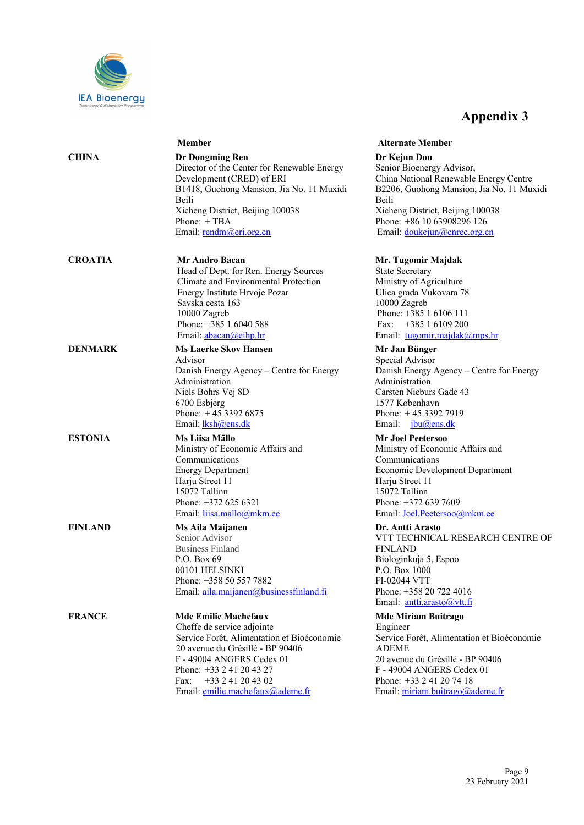

|                | Member                                                                                                                                                                                                                                                                | <b>Alternate Member</b>                                                                                                                                                                                                                                   |
|----------------|-----------------------------------------------------------------------------------------------------------------------------------------------------------------------------------------------------------------------------------------------------------------------|-----------------------------------------------------------------------------------------------------------------------------------------------------------------------------------------------------------------------------------------------------------|
| <b>CHINA</b>   | <b>Dr Dongming Ren</b><br>Director of the Center for Renewable Energy<br>Development (CRED) of ERI<br>B1418, Guohong Mansion, Jia No. 11 Muxidi<br>Beili<br>Xicheng District, Beijing 100038<br>Phone: +TBA<br>Email: rendm@eri.org.cn                                | Dr Kejun Dou<br>Senior Bioenergy Advisor,<br>China National Renewable Energy Centre<br>B2206, Guohong Mansion, Jia No. 11 Muxidi<br><b>Beili</b><br>Xicheng District, Beijing 100038<br>Phone: +86 10 63908296 126<br>Email: <u>doukejun@cnrec.org.cn</u> |
| <b>CROATIA</b> | <b>Mr Andro Bacan</b><br>Head of Dept. for Ren. Energy Sources<br>Climate and Environmental Protection<br>Energy Institute Hrvoje Pozar<br>Savska cesta 163<br>10000 Zagreb<br>Phone: +385 1 6040 588<br>Email: abacan@eihp.hr                                        | Mr. Tugomir Majdak<br><b>State Secretary</b><br>Ministry of Agriculture<br>Ulica grada Vukovara 78<br>10000 Zagreb<br>Phone: $+385$ 1 6106 111<br>$+38516109200$<br>Fax:<br>Email: tugomir.majdak@mps.hr                                                  |
| <b>DENMARK</b> | <b>Ms Laerke Skov Hansen</b><br>Advisor<br>Danish Energy Agency – Centre for Energy<br>Administration<br>Niels Bohrs Vej 8D<br>6700 Esbjerg<br>Phone: $+4533926875$<br>Email: <i>lksh@ens.dk</i>                                                                      | Mr Jan Bünger<br>Special Advisor<br>Danish Energy Agency - Centre for Energy<br>Administration<br>Carsten Nieburs Gade 43<br>1577 København<br>Phone: $+4533927919$<br>Email: jbu@ens.dk                                                                  |
| <b>ESTONIA</b> | Ms Liisa Mällo<br>Ministry of Economic Affairs and<br>Communications<br><b>Energy Department</b><br>Harju Street 11<br>15072 Tallinn<br>Phone: +372 625 6321<br>Email: <i>liisa.mallo@mkm.ee</i>                                                                      | <b>Mr Joel Peetersoo</b><br>Ministry of Economic Affairs and<br>Communications<br>Economic Development Department<br>Harju Street 11<br>15072 Tallinn<br>Phone: +372 639 7609<br>Email: Joel.Peetersoo@mkm.ee                                             |
| <b>FINLAND</b> | Ms Aila Maijanen<br>Senior Advisor<br><b>Business Finland</b><br>P.O. Box 69<br>00101 HELSINKI<br>Phone: +358 50 557 7882<br>Email: aila.maijanen@businessfinland.fi                                                                                                  | Dr. Antti Arasto<br>VTT TECHNICAL RESEARCH CENTRE OF<br><b>FINLAND</b><br>Biologinkuja 5, Espoo<br>P.O. Box 1000<br>FI-02044 VTT<br>Phone: +358 20 722 4016<br>Email: antti.arasto@vtt.fi                                                                 |
| <b>FRANCE</b>  | <b>Mde Emilie Machefaux</b><br>Cheffe de service adjointe<br>Service Forêt, Alimentation et Bioéconomie<br>20 avenue du Grésillé - BP 90406<br>F - 49004 ANGERS Cedex 01<br>Phone: +33 2 41 20 43 27<br>+33 2 41 20 43 02<br>Fax:<br>Email: emilie.machefaux@ademe.fr | <b>Mde Miriam Buitrago</b><br>Engineer<br>Service Forêt, Alimentation et Bioéconomie<br><b>ADEME</b><br>20 avenue du Grésillé - BP 90406<br>F - 49004 ANGERS Cedex 01<br>Phone: +33 2 41 20 74 18<br>Email: miriam.buitrago@ademe.fr                      |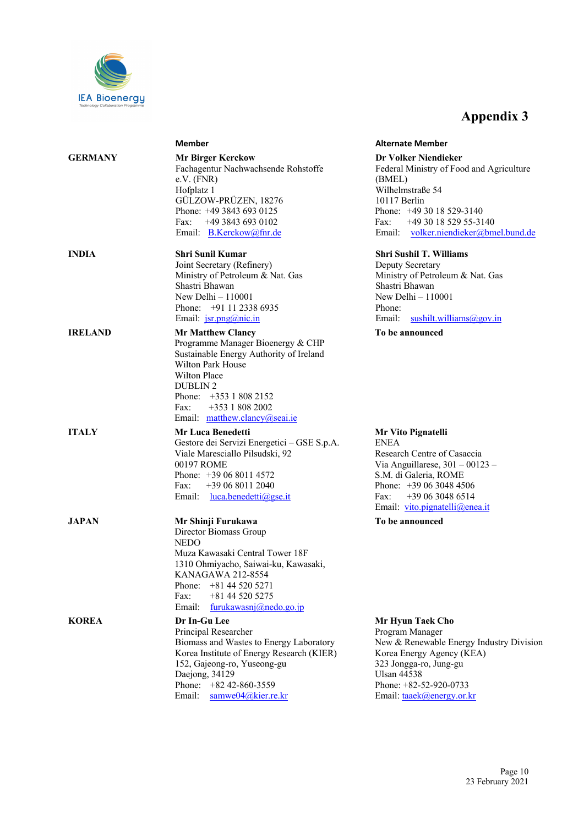

|                | <b>Member</b>                                                                                                                                                                                                                                                  | <b>Alternate Member</b>                                                                                                                                                                                                |
|----------------|----------------------------------------------------------------------------------------------------------------------------------------------------------------------------------------------------------------------------------------------------------------|------------------------------------------------------------------------------------------------------------------------------------------------------------------------------------------------------------------------|
| <b>GERMANY</b> | <b>Mr Birger Kerckow</b><br>Fachagentur Nachwachsende Rohstoffe<br>$e.V.$ (FNR)<br>Hofplatz 1<br>GÜLZOW-PRÜZEN, 18276<br>Phone: +49 3843 693 0125<br>Fax:<br>$+4938436930102$<br>Email: B.Kerckow@fnr.de                                                       | Dr Volker Niendieker<br>Federal Ministry of Food and Agriculture<br>(BMEL)<br>Wilhelmstraße 54<br>10117 Berlin<br>Phone: $+493018529-3140$<br>+49 30 18 529 55-3140<br>Fax:<br>Email: volker.niendieker@bmel.bund.de   |
| INDIA          | <b>Shri Sunil Kumar</b><br>Joint Secretary (Refinery)<br>Ministry of Petroleum & Nat. Gas<br>Shastri Bhawan<br>New Delhi $-110001$<br>Phone: $+91$ 11 2338 6935<br>Email: jsr.png@nic.in                                                                       | <b>Shri Sushil T. Williams</b><br>Deputy Secretary<br>Ministry of Petroleum & Nat. Gas<br>Shastri Bhawan<br>New Delhi $-110001$<br>Phone:<br>Email:<br>sushilt.williams@gov.in                                         |
| <b>IRELAND</b> | <b>Mr Matthew Clancy</b><br>Programme Manager Bioenergy & CHP<br>Sustainable Energy Authority of Ireland<br><b>Wilton Park House</b><br>Wilton Place<br><b>DUBLIN2</b><br>Phone: $+353$ 1 808 2152<br>+353 1 808 2002<br>Fax:<br>Email: matthew.clancy@seai.ie | To be announced                                                                                                                                                                                                        |
| <b>ITALY</b>   | <b>Mr Luca Benedetti</b><br>Gestore dei Servizi Energetici - GSE S.p.A.<br>Viale Maresciallo Pilsudski, 92<br>00197 ROME<br>Phone: $+390680114572$<br>+39 06 8011 2040<br>Fax:<br>Email: <u>luca.benedetti@gse.it</u>                                          | Mr Vito Pignatelli<br><b>ENEA</b><br>Research Centre of Casaccia<br>Via Anguillarese, $301 - 00123 -$<br>S.M. di Galeria, ROME<br>Phone: $+390630484506$<br>+39 06 3048 6514<br>Fax:<br>Email: vito.pignatelli@enea.it |
| JAPAN          | Mr Shinji Furukawa<br>Director Biomass Group<br><b>NEDO</b><br>Muza Kawasaki Central Tower 18F<br>1310 Ohmiyacho, Saiwai-ku, Kawasaki,<br>KANAGAWA 212-8554<br>+81 44 520 5271<br>Phone:<br>+81 44 520 5275<br>Fax:<br>Email:<br>furukawasnj@nedo.go.jp        | To be announced                                                                                                                                                                                                        |
| KOREA          | Dr In-Gu Lee<br>Principal Researcher<br>Biomass and Wastes to Energy Laboratory<br>Korea Institute of Energy Research (KIER)<br>152, Gajeong-ro, Yuseong-gu<br>Daejong, 34129<br>Phone: $+8242-860-3559$<br>Email:<br>samwe04@kier.re.kr                       | Mr Hyun Taek Cho<br>Program Manager<br>New & Renewable Energy Industry Division<br>Korea Energy Agency (KEA)<br>323 Jongga-ro, Jung-gu<br><b>Ulsan 44538</b><br>Phone: +82-52-920-0733<br>Email: taaek@energy.or.kr    |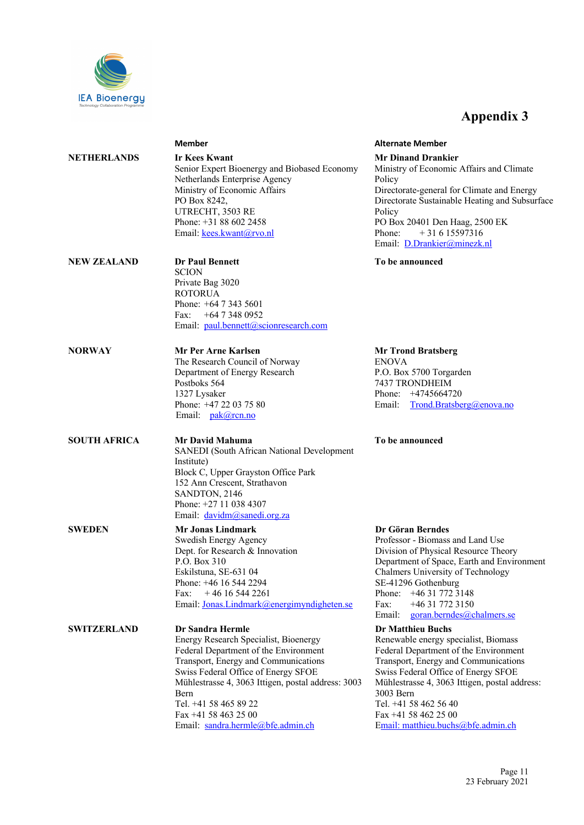

|                     | <b>Member</b>                                                                                                                                                                                                                                                                                                                                | <b>Alternate Member</b>                                                                                                                                                                                          |
|---------------------|----------------------------------------------------------------------------------------------------------------------------------------------------------------------------------------------------------------------------------------------------------------------------------------------------------------------------------------------|------------------------------------------------------------------------------------------------------------------------------------------------------------------------------------------------------------------|
| NETHERLANDS         | <b>Ir Kees Kwant</b><br>Senior Expert Bioenergy and Biobased Economy<br>Netherlands Enterprise Agency<br>Ministry of Economic Affairs<br>PO Box 8242,<br>UTRECHT, 3503 RE<br>Phone: $+31886022458$<br>Email: kees.kwant@rvo.nl                                                                                                               | <b>Mr Dinand Drank</b><br>Ministry of Econor<br>Policy<br>Directorate-general<br>Directorate Sustain<br>Policy<br>PO Box 20401 Der<br>$+316$<br>Phone:<br>Email: D.Drankier                                      |
| <b>NEW ZEALAND</b>  | <b>Dr Paul Bennett</b><br><b>SCION</b><br>Private Bag 3020<br><b>ROTORUA</b><br>Phone: $+64$ 7 343 5601<br>Fax: +64 7 348 0952<br>Email: paul.bennett@scionresearch.com                                                                                                                                                                      | To be announced                                                                                                                                                                                                  |
| NORWAY              | Mr Per Arne Karlsen<br>The Research Council of Norway<br>Department of Energy Research<br>Postboks 564<br>1327 Lysaker<br>Phone: +47 22 03 75 80<br>Email: pak@rcn.no                                                                                                                                                                        | <b>Mr Trond Bratsbo</b><br><b>ENOVA</b><br>P.O. Box 5700 Tor<br>7437 TRONDHEIN<br>Phone: +4745664<br>Email:<br>Trond.Bra                                                                                         |
| <b>SOUTH AFRICA</b> | Mr David Mahuma<br>SANEDI (South African National Development<br>Institute)<br>Block C, Upper Grayston Office Park<br>152 Ann Crescent, Strathavon<br>SANDTON, 2146<br>Phone: $+27$ 11 038 4307<br>Email: davidm@sanedi.org.za                                                                                                               | To be announced                                                                                                                                                                                                  |
| <b>SWEDEN</b>       | <b>Mr Jonas Lindmark</b><br>Swedish Energy Agency<br>Dept. for Research & Innovation<br>P.O. Box 310<br>Eskilstuna, SE-631 04<br>Phone: +46 16 544 2294<br>$+46$ 16 544 2261<br>Fax:<br>Email: Jonas.Lindmark@energimyndigheten.se                                                                                                           | Dr Göran Bernde<br>Professor - Biomas<br>Division of Physica<br>Department of Spa<br>Chalmers Universi<br>SE-41296 Gothenb<br>$+463177$<br>Phone:<br>$+463177$<br>Fax:<br>Email:<br>goran.ber                    |
| <b>SWITZERLAND</b>  | <b>Dr Sandra Hermle</b><br>Energy Research Specialist, Bioenergy<br>Federal Department of the Environment<br>Transport, Energy and Communications<br>Swiss Federal Office of Energy SFOE<br>Mühlestrasse 4, 3063 Ittigen, postal address: 3003<br>Bern<br>Tel. +41 58 465 89 22<br>Fax +41 58 463 25 00<br>Email: sandra.hermle@bfe.admin.ch | <b>Dr Matthieu Buch</b><br>Renewable energy<br>Federal Departmen<br>Transport, Energy<br>Swiss Federal Offic<br>Mühlestrasse 4, 30<br>3003 Bern<br>Tel. +41 58 462 56<br>Fax +41 58 462 25<br>Email: matthieu.bu |

**Drankier Economic Affairs and Climate** -general for Climate and Energy Sustainable Heating and Subsurface 401 Den Haag, 2500 EK  $+ 31 6 15597316$ Drankier@minezk.nl

**Bratsberg** 700 Torgarden NDHEIM Phone: +4745664720 rond.Bratsberg@enova.no

#### **Berndes**

Biomass and Land Use Physical Resource Theory of Space, Earth and Environment Iniversity of Technology Gothenburg Phone: +46 31 772 3148 Fax: +46 31 772 3150 oran.berndes@chalmers.se

#### eu Buchs

energy specialist, Biomass partment of the Environment t<br>Energy and Communications ral Office of Energy SFOE se 4, 3063 Ittigen, postal address: 462 56 40 462 25 00 thieu.buchs@bfe.admin.ch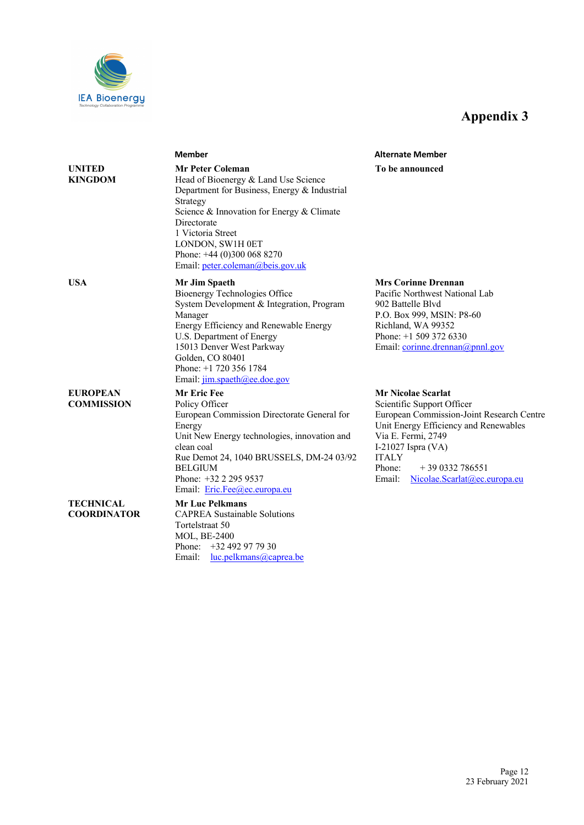

|                                      | <b>Member</b>                                                                                                                                                                                                                                                                                        | <b>Alternate Member</b>                                                                                                                                                                                                                                                          |
|--------------------------------------|------------------------------------------------------------------------------------------------------------------------------------------------------------------------------------------------------------------------------------------------------------------------------------------------------|----------------------------------------------------------------------------------------------------------------------------------------------------------------------------------------------------------------------------------------------------------------------------------|
| <b>UNITED</b><br>KINGDOM             | <b>Mr Peter Coleman</b><br>Head of Bioenergy & Land Use Science<br>Department for Business, Energy & Industrial<br>Strategy<br>Science & Innovation for Energy & Climate<br>Directorate<br>1 Victoria Street<br>LONDON, SW1H 0ET<br>Phone: $+44$ (0)300 068 8270<br>Email: peter.coleman@beis.gov.uk | To be announced                                                                                                                                                                                                                                                                  |
| <b>USA</b>                           | Mr Jim Spaeth<br>Bioenergy Technologies Office<br>System Development & Integration, Program<br>Manager<br>Energy Efficiency and Renewable Energy<br>U.S. Department of Energy<br>15013 Denver West Parkway<br>Golden, CO 80401<br>Phone: $+1$ 720 356 1784<br>Email: jim.spaeth@ee.doe.gov           | <b>Mrs Corinne Drennan</b><br>Pacific Northwest National Lab<br>902 Battelle Blyd<br>P.O. Box 999, MSIN: P8-60<br>Richland, WA 99352<br>Phone: $+1$ 509 372 6330<br>Email: corinne.drennan@pnnl.gov                                                                              |
| <b>EUROPEAN</b><br><b>COMMISSION</b> | Mr Eric Fee<br>Policy Officer<br>European Commission Directorate General for<br>Energy<br>Unit New Energy technologies, innovation and<br>clean coal<br>Rue Demot 24, 1040 BRUSSELS, DM-24 03/92<br><b>BELGIUM</b><br>Phone: +32 2 295 9537<br>Email: Eric.Fee@ec.europa.eu                          | <b>Mr Nicolae Scarlat</b><br>Scientific Support Officer<br>European Commission-Joint Research Centre<br>Unit Energy Efficiency and Renewables<br>Via E. Fermi, 2749<br>I-21027 Ispra (VA)<br><b>ITALY</b><br>$+390332786551$<br>Phone:<br>Email:<br>Nicolae.Scarlat@ec.europa.eu |
| TECHNICAL<br><b>COORDINATOR</b>      | <b>Mr Luc Pelkmans</b><br><b>CAPREA Sustainable Solutions</b><br>Tortelstraat 50<br><b>MOL, BE-2400</b><br>Phone:<br>+32 492 97 79 30<br>Email:<br>luc.pelkmans@caprea.be                                                                                                                            |                                                                                                                                                                                                                                                                                  |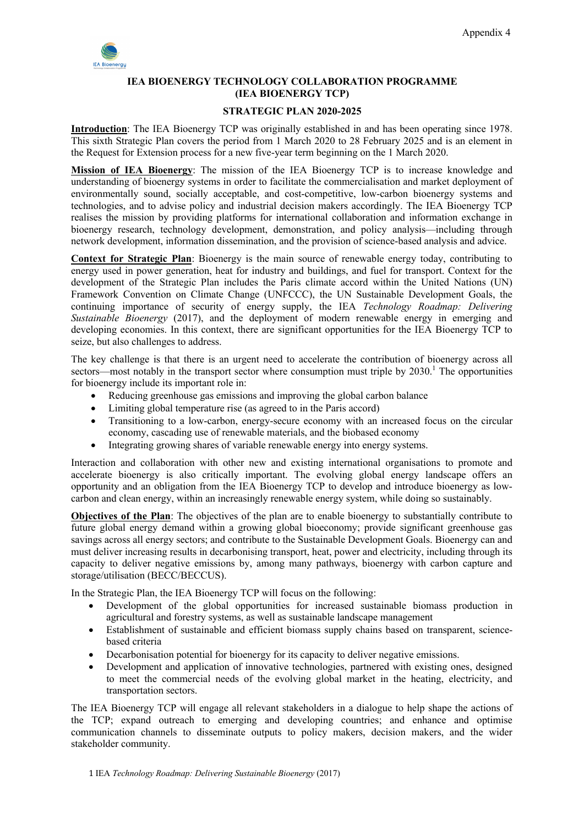

### **IEA BIOENERGY TECHNOLOGY COLLABORATION PROGRAMME (IEA BIOENERGY TCP)**

#### **STRATEGIC PLAN 2020-2025**

**Introduction**: The IEA Bioenergy TCP was originally established in and has been operating since 1978. This sixth Strategic Plan covers the period from 1 March 2020 to 28 February 2025 and is an element in the Request for Extension process for a new five-year term beginning on the 1 March 2020.

**Mission of IEA Bioenergy**: The mission of the IEA Bioenergy TCP is to increase knowledge and understanding of bioenergy systems in order to facilitate the commercialisation and market deployment of environmentally sound, socially acceptable, and cost-competitive, low-carbon bioenergy systems and technologies, and to advise policy and industrial decision makers accordingly. The IEA Bioenergy TCP realises the mission by providing platforms for international collaboration and information exchange in bioenergy research, technology development, demonstration, and policy analysis—including through network development, information dissemination, and the provision of science-based analysis and advice.

**Context for Strategic Plan**: Bioenergy is the main source of renewable energy today, contributing to energy used in power generation, heat for industry and buildings, and fuel for transport. Context for the development of the Strategic Plan includes the Paris climate accord within the United Nations (UN) Framework Convention on Climate Change (UNFCCC), the UN Sustainable Development Goals, the continuing importance of security of energy supply, the IEA *Technology Roadmap: Delivering Sustainable Bioenergy* (2017), and the deployment of modern renewable energy in emerging and developing economies. In this context, there are significant opportunities for the IEA Bioenergy TCP to seize, but also challenges to address.

The key challenge is that there is an urgent need to accelerate the contribution of bioenergy across all sectors—most notably in the transport sector where consumption must triple by 2030.<sup>1</sup> The opportunities for bioenergy include its important role in:

- Reducing greenhouse gas emissions and improving the global carbon balance
- Limiting global temperature rise (as agreed to in the Paris accord)
- Transitioning to a low-carbon, energy-secure economy with an increased focus on the circular economy, cascading use of renewable materials, and the biobased economy
- Integrating growing shares of variable renewable energy into energy systems.

Interaction and collaboration with other new and existing international organisations to promote and accelerate bioenergy is also critically important. The evolving global energy landscape offers an opportunity and an obligation from the IEA Bioenergy TCP to develop and introduce bioenergy as lowcarbon and clean energy, within an increasingly renewable energy system, while doing so sustainably.

**Objectives of the Plan**: The objectives of the plan are to enable bioenergy to substantially contribute to future global energy demand within a growing global bioeconomy; provide significant greenhouse gas savings across all energy sectors; and contribute to the Sustainable Development Goals. Bioenergy can and must deliver increasing results in decarbonising transport, heat, power and electricity, including through its capacity to deliver negative emissions by, among many pathways, bioenergy with carbon capture and storage/utilisation (BECC/BECCUS).

In the Strategic Plan, the IEA Bioenergy TCP will focus on the following:

- Development of the global opportunities for increased sustainable biomass production in agricultural and forestry systems, as well as sustainable landscape management
- Establishment of sustainable and efficient biomass supply chains based on transparent, sciencebased criteria
- Decarbonisation potential for bioenergy for its capacity to deliver negative emissions.
- Development and application of innovative technologies, partnered with existing ones, designed to meet the commercial needs of the evolving global market in the heating, electricity, and transportation sectors.

The IEA Bioenergy TCP will engage all relevant stakeholders in a dialogue to help shape the actions of the TCP; expand outreach to emerging and developing countries; and enhance and optimise communication channels to disseminate outputs to policy makers, decision makers, and the wider stakeholder community.